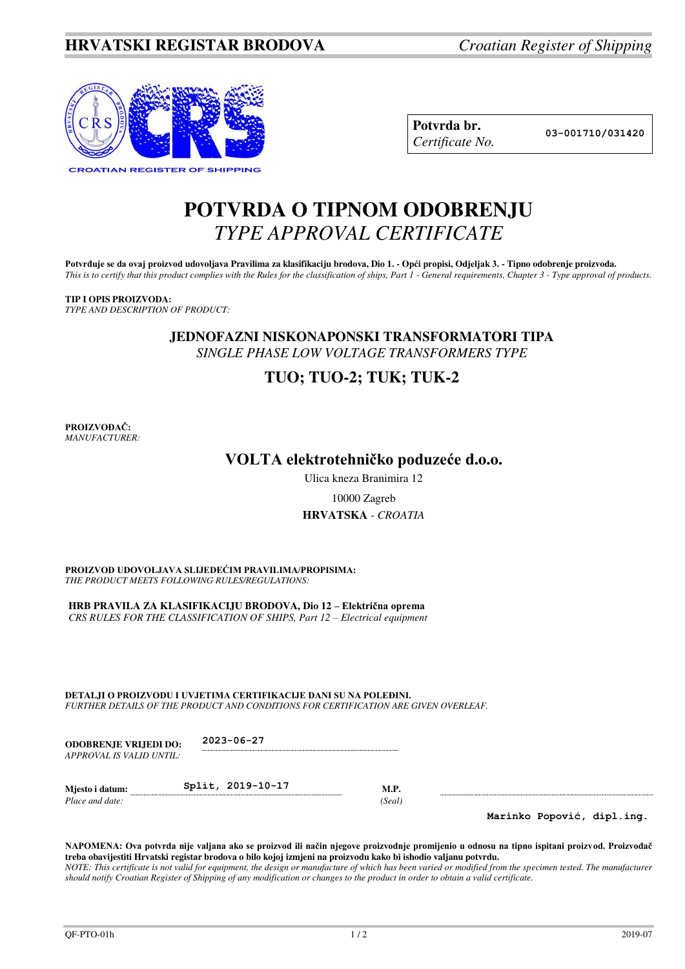

| Potvrda br.     |
|-----------------|
| Certificate No. |

**Potvrda br. 03-001710/031420**

# **POTVRDA O TIPNOM ODOBRENJU**  *TYPE APPROVAL CERTIFICATE*

Potvrđuje se da ovaj proizvod udovoljava Pravilima za klasifikaciju brodova, Dio 1. - Opći propisi, Odjeljak 3. - Tipno odobrenje proizvoda. *This is to certify that this product complies with the Rules for the classification of ships, Part 1 - General requirements, Chapter 3 - Type approval of products.* 

## **TIP I OPIS PROIZVODA:**

*TYPE AND DESCRIPTION OF PRODUCT:* 

**JEDNOFAZNI NISKONAPONSKI TRANSFORMATORI TIPA** *SINGLE PHASE LOW VOLTAGE TRANSFORMERS TYPE* 

## **TUO; TUO-2; TUK; TUK-2**

**PROIZVOĐAČ:** *MANUFACTURER:*

## **VOLTA elektrotehničko poduzeće d.o.o.**

Ulica kneza Branimira 12

### 10000 Zagreb

### **HRVATSKA** - *CROATIA*

**PROIZVOD UDOVOLJAVA SLIJEDEĆIM PRAVILIMA/PROPISIMA:** *THE PRODUCT MEETS FOLLOWING RULES/REGULATIONS:* 

**HRB PRAVILA ZA KLASIFIKACIJU BRODOVA, Dio 12 – Električna oprema** *CRS RULES FOR THE CLASSIFICATION OF SHIPS, Part 12 – Electrical equipment* 

**DETALJI O PROIZVODU I UVJETIMA CERTIFIKACIJE DANI SU NA POLEĐINI.** *FURTHER DETAILS OF THE PRODUCT AND CONDITIONS FOR CERTIFICATION ARE GIVEN OVERLEAF.* 

**ODOBRENJE VRIJEDI DO: 2023-06-27** *APPROVAL IS VALID UNTIL:*

**Mjesto i datum: Split, 2019-10-17 M.P.** *Place and date:* (*Seal*) *Place and date:* 

**Marinko Popović, dipl.ing.**

**NAPOMENA: Ova potvrda nije valjana ako se proizvod ili način njegove proizvodnje promijenio u odnosu na tipno ispitani proizvod. Proizvođač treba obavijestiti Hrvatski registar brodova o bilo kojoj izmjeni na proizvodu kako bi ishodio valjanu potvrdu.**  *NOTE: This certificate is not valid for equipment, the design or manufacture of which has been varied or modified from the specimen tested. The manufacturer should notify Croatian Register of Shipping of any modification or changes to the product in order to obtain a valid certificate.*